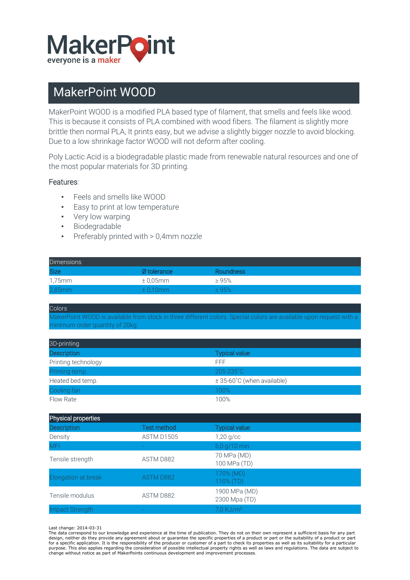

## MakerPoint WOOD

MakerPoint WOOD is a modified PLA based type of filament, that smells and feels like wood. This is because it consists of PLA combined with wood fibers. The filament is slightly more brittle then normal PLA, It prints easy, but we advise a slightly bigger nozzle to avoid blocking. Due to a low shrinkage factor WOOD will not deform after cooling.

Poly Lactic Acid is a biodegradable plastic made from renewable natural resources and one of the most popular materials for 3D printing.

## Features:

- Feels and smells like WOOD
- Easy to print at low temperature
- Very low warping
- Biodegradable
- Preferably printed with > 0,4mm nozzle

| <b>Dimensions</b> |                      |                  |
|-------------------|----------------------|------------------|
| <b>Size</b>       | Ø tolerance          | <b>Roundness</b> |
| 1.75mm            | $\pm$ 0.05 $\rm{mm}$ | $\geq 95\%$      |
| $2,85$ mm         | $\pm 0.10$ mm        | >95%             |

**Colors** 

MakerPoint WOOD is available from stock in three different colors. Special colors are available upon request with a minimum order quantity of 20kg.

| 3D-printing         |                            |
|---------------------|----------------------------|
| <b>Description</b>  | <b>Typical value</b>       |
| Printing technology | FFF.                       |
| Printing temp.      | 205-235°C                  |
| Heated bed temp.    | ± 35-60°C (when available) |
| Cooling fan         | 100%                       |
| Flow Rate           | 100%                       |

| Physical properties |                    |                                |  |  |
|---------------------|--------------------|--------------------------------|--|--|
| <b>Description</b>  | <b>Test method</b> | <b>Typical value</b>           |  |  |
| Density             | ASTM D1505         | $1,20$ g/cc                    |  |  |
| <b>MFI</b>          |                    | 6,0 g/10 min                   |  |  |
| Tensile strength    | ASTM D882          | 70 MPa (MD)<br>100 MPa (TD)    |  |  |
| Elongation at break | <b>ASTM D882</b>   | 170% (MD)<br>110% (TD)         |  |  |
| Tensile modulus     | ASTM D882          | 1900 MPa (MD)<br>2300 Mpa (TD) |  |  |
| Impact Strength     |                    | 7,0 KJ/m <sup>2</sup>          |  |  |

Last change: 2014-03-31

The data correspond to our knowledge and experience at the time of publication. They do not on their own represent a sufficient basis for any part design, neither do they provide any agreement about or guarantee the specific properties of a product or part or the suitability of a product or part<br>for a specific application. It is the responsibility of the producer or purpose. This also applies regarding the consideration of possible intellectual property rights as well as laws and regulations. The data are subject to change without notice as part of MakerPoints continuous development and improvement processes.